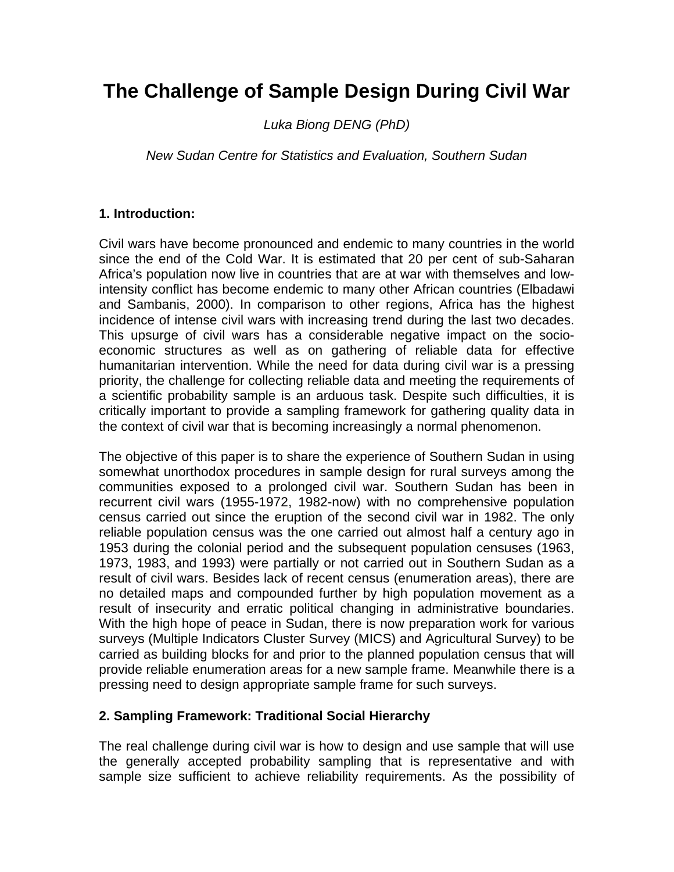# **The Challenge of Sample Design During Civil War**

*Luka Biong DENG (PhD)* 

*New Sudan Centre for Statistics and Evaluation, Southern Sudan*

### **1. Introduction:**

Civil wars have become pronounced and endemic to many countries in the world since the end of the Cold War. It is estimated that 20 per cent of sub-Saharan Africa's population now live in countries that are at war with themselves and lowintensity conflict has become endemic to many other African countries (Elbadawi and Sambanis, 2000). In comparison to other regions, Africa has the highest incidence of intense civil wars with increasing trend during the last two decades. This upsurge of civil wars has a considerable negative impact on the socioeconomic structures as well as on gathering of reliable data for effective humanitarian intervention. While the need for data during civil war is a pressing priority, the challenge for collecting reliable data and meeting the requirements of a scientific probability sample is an arduous task. Despite such difficulties, it is critically important to provide a sampling framework for gathering quality data in the context of civil war that is becoming increasingly a normal phenomenon.

The objective of this paper is to share the experience of Southern Sudan in using somewhat unorthodox procedures in sample design for rural surveys among the communities exposed to a prolonged civil war. Southern Sudan has been in recurrent civil wars (1955-1972, 1982-now) with no comprehensive population census carried out since the eruption of the second civil war in 1982. The only reliable population census was the one carried out almost half a century ago in 1953 during the colonial period and the subsequent population censuses (1963, 1973, 1983, and 1993) were partially or not carried out in Southern Sudan as a result of civil wars. Besides lack of recent census (enumeration areas), there are no detailed maps and compounded further by high population movement as a result of insecurity and erratic political changing in administrative boundaries. With the high hope of peace in Sudan, there is now preparation work for various surveys (Multiple Indicators Cluster Survey (MICS) and Agricultural Survey) to be carried as building blocks for and prior to the planned population census that will provide reliable enumeration areas for a new sample frame. Meanwhile there is a pressing need to design appropriate sample frame for such surveys.

#### **2. Sampling Framework: Traditional Social Hierarchy**

The real challenge during civil war is how to design and use sample that will use the generally accepted probability sampling that is representative and with sample size sufficient to achieve reliability requirements. As the possibility of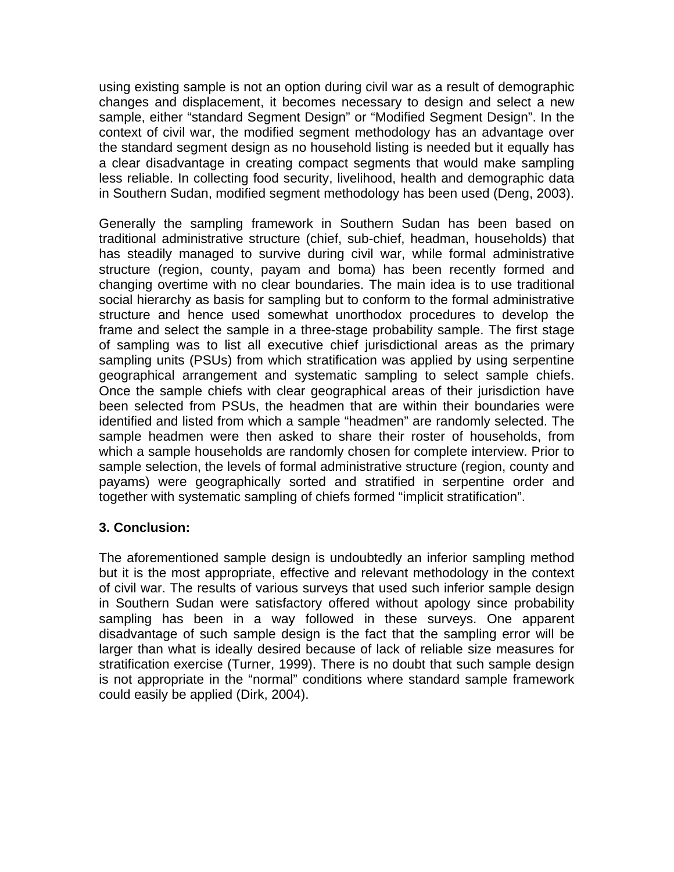using existing sample is not an option during civil war as a result of demographic changes and displacement, it becomes necessary to design and select a new sample, either "standard Segment Design" or "Modified Segment Design". In the context of civil war, the modified segment methodology has an advantage over the standard segment design as no household listing is needed but it equally has a clear disadvantage in creating compact segments that would make sampling less reliable. In collecting food security, livelihood, health and demographic data in Southern Sudan, modified segment methodology has been used (Deng, 2003).

Generally the sampling framework in Southern Sudan has been based on traditional administrative structure (chief, sub-chief, headman, households) that has steadily managed to survive during civil war, while formal administrative structure (region, county, payam and boma) has been recently formed and changing overtime with no clear boundaries. The main idea is to use traditional social hierarchy as basis for sampling but to conform to the formal administrative structure and hence used somewhat unorthodox procedures to develop the frame and select the sample in a three-stage probability sample. The first stage of sampling was to list all executive chief jurisdictional areas as the primary sampling units (PSUs) from which stratification was applied by using serpentine geographical arrangement and systematic sampling to select sample chiefs. Once the sample chiefs with clear geographical areas of their jurisdiction have been selected from PSUs, the headmen that are within their boundaries were identified and listed from which a sample "headmen" are randomly selected. The sample headmen were then asked to share their roster of households, from which a sample households are randomly chosen for complete interview. Prior to sample selection, the levels of formal administrative structure (region, county and payams) were geographically sorted and stratified in serpentine order and together with systematic sampling of chiefs formed "implicit stratification".

## **3. Conclusion:**

The aforementioned sample design is undoubtedly an inferior sampling method but it is the most appropriate, effective and relevant methodology in the context of civil war. The results of various surveys that used such inferior sample design in Southern Sudan were satisfactory offered without apology since probability sampling has been in a way followed in these surveys. One apparent disadvantage of such sample design is the fact that the sampling error will be larger than what is ideally desired because of lack of reliable size measures for stratification exercise (Turner, 1999). There is no doubt that such sample design is not appropriate in the "normal" conditions where standard sample framework could easily be applied (Dirk, 2004).